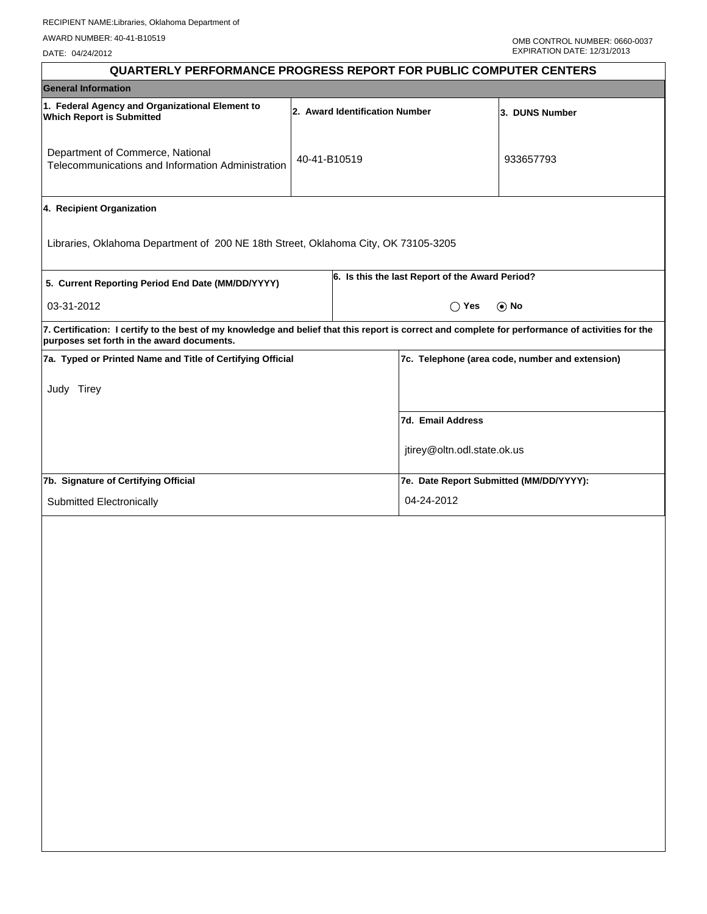DATE: 04/24/2012

| <b>QUARTERLY PERFORMANCE PROGRESS REPORT FOR PUBLIC COMPUTER CENTERS</b>                                                                                                                        |                                |                |                                                 |                                                 |
|-------------------------------------------------------------------------------------------------------------------------------------------------------------------------------------------------|--------------------------------|----------------|-------------------------------------------------|-------------------------------------------------|
| <b>General Information</b>                                                                                                                                                                      |                                |                |                                                 |                                                 |
| 1. Federal Agency and Organizational Element to<br><b>Which Report is Submitted</b>                                                                                                             | 2. Award Identification Number | 3. DUNS Number |                                                 |                                                 |
| Department of Commerce, National<br>Telecommunications and Information Administration                                                                                                           | 40-41-B10519                   |                |                                                 | 933657793                                       |
| 4. Recipient Organization                                                                                                                                                                       |                                |                |                                                 |                                                 |
| Libraries, Oklahoma Department of 200 NE 18th Street, Oklahoma City, OK 73105-3205                                                                                                              |                                |                |                                                 |                                                 |
| 5. Current Reporting Period End Date (MM/DD/YYYY)                                                                                                                                               |                                |                | 6. Is this the last Report of the Award Period? |                                                 |
| 03-31-2012                                                                                                                                                                                      |                                |                | $\bigcap$ Yes                                   | $\odot$ No                                      |
| 7. Certification: I certify to the best of my knowledge and belief that this report is correct and complete for performance of activities for the<br>purposes set forth in the award documents. |                                |                |                                                 |                                                 |
| 7a. Typed or Printed Name and Title of Certifying Official                                                                                                                                      |                                |                |                                                 | 7c. Telephone (area code, number and extension) |
| Judy Tirey                                                                                                                                                                                      |                                |                |                                                 |                                                 |
|                                                                                                                                                                                                 |                                |                | 7d. Email Address                               |                                                 |
|                                                                                                                                                                                                 |                                |                | jtirey@oltn.odl.state.ok.us                     |                                                 |
| 7b. Signature of Certifying Official                                                                                                                                                            |                                |                | 7e. Date Report Submitted (MM/DD/YYYY):         |                                                 |
| Submitted Electronically                                                                                                                                                                        |                                |                | 04-24-2012                                      |                                                 |
|                                                                                                                                                                                                 |                                |                |                                                 |                                                 |
|                                                                                                                                                                                                 |                                |                |                                                 |                                                 |
|                                                                                                                                                                                                 |                                |                |                                                 |                                                 |
|                                                                                                                                                                                                 |                                |                |                                                 |                                                 |
|                                                                                                                                                                                                 |                                |                |                                                 |                                                 |
|                                                                                                                                                                                                 |                                |                |                                                 |                                                 |
|                                                                                                                                                                                                 |                                |                |                                                 |                                                 |
|                                                                                                                                                                                                 |                                |                |                                                 |                                                 |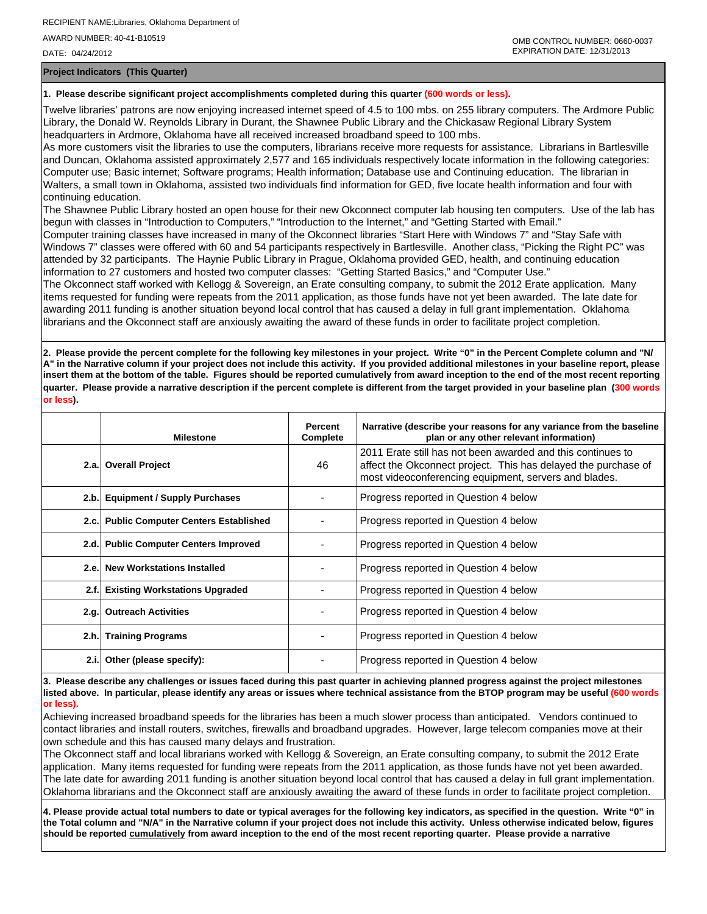DATE: 04/24/2012

**Project Indicators (This Quarter)**

### **1. Please describe significant project accomplishments completed during this quarter (600 words or less).**

Twelve libraries' patrons are now enjoying increased internet speed of 4.5 to 100 mbs. on 255 library computers. The Ardmore Public Library, the Donald W. Reynolds Library in Durant, the Shawnee Public Library and the Chickasaw Regional Library System headquarters in Ardmore, Oklahoma have all received increased broadband speed to 100 mbs.

As more customers visit the libraries to use the computers, librarians receive more requests for assistance. Librarians in Bartlesville and Duncan, Oklahoma assisted approximately 2,577 and 165 individuals respectively locate information in the following categories: Computer use; Basic internet; Software programs; Health information; Database use and Continuing education. The librarian in Walters, a small town in Oklahoma, assisted two individuals find information for GED, five locate health information and four with continuing education.

The Shawnee Public Library hosted an open house for their new Okconnect computer lab housing ten computers. Use of the lab has begun with classes in "Introduction to Computers," "Introduction to the Internet," and "Getting Started with Email."

Computer training classes have increased in many of the Okconnect libraries "Start Here with Windows 7" and "Stay Safe with Windows 7" classes were offered with 60 and 54 participants respectively in Bartlesville. Another class, "Picking the Right PC" was attended by 32 participants. The Haynie Public Library in Prague, Oklahoma provided GED, health, and continuing education information to 27 customers and hosted two computer classes: "Getting Started Basics," and "Computer Use."

The Okconnect staff worked with Kellogg & Sovereign, an Erate consulting company, to submit the 2012 Erate application. Many items requested for funding were repeats from the 2011 application, as those funds have not yet been awarded. The late date for awarding 2011 funding is another situation beyond local control that has caused a delay in full grant implementation. Oklahoma librarians and the Okconnect staff are anxiously awaiting the award of these funds in order to facilitate project completion.

**2. Please provide the percent complete for the following key milestones in your project. Write "0" in the Percent Complete column and "N/ A" in the Narrative column if your project does not include this activity. If you provided additional milestones in your baseline report, please insert them at the bottom of the table. Figures should be reported cumulatively from award inception to the end of the most recent reporting quarter. Please provide a narrative description if the percent complete is different from the target provided in your baseline plan (300 words or less).**

|      | <b>Milestone</b>                         | <b>Percent</b><br>Complete | Narrative (describe your reasons for any variance from the baseline<br>plan or any other relevant information)                                                                         |
|------|------------------------------------------|----------------------------|----------------------------------------------------------------------------------------------------------------------------------------------------------------------------------------|
|      | 2.a. Overall Project                     | 46                         | 2011 Erate still has not been awarded and this continues to<br>affect the Okconnect project. This has delayed the purchase of<br>most videoconferencing equipment, servers and blades. |
|      | 2.b. Equipment / Supply Purchases        |                            | Progress reported in Question 4 below                                                                                                                                                  |
|      | 2.c. Public Computer Centers Established |                            | Progress reported in Question 4 below                                                                                                                                                  |
|      | 2.d. Public Computer Centers Improved    |                            | Progress reported in Question 4 below                                                                                                                                                  |
|      | 2.e. New Workstations Installed          |                            | Progress reported in Question 4 below                                                                                                                                                  |
| 2.f. | <b>Existing Workstations Upgraded</b>    |                            | Progress reported in Question 4 below                                                                                                                                                  |
|      | 2.g. Outreach Activities                 |                            | Progress reported in Question 4 below                                                                                                                                                  |
|      | 2.h. Training Programs                   |                            | Progress reported in Question 4 below                                                                                                                                                  |
| 2.i. | Other (please specify):                  |                            | Progress reported in Question 4 below                                                                                                                                                  |

**3. Please describe any challenges or issues faced during this past quarter in achieving planned progress against the project milestones listed above. In particular, please identify any areas or issues where technical assistance from the BTOP program may be useful (600 words or less).**

Achieving increased broadband speeds for the libraries has been a much slower process than anticipated. Vendors continued to contact libraries and install routers, switches, firewalls and broadband upgrades. However, large telecom companies move at their own schedule and this has caused many delays and frustration.

The Okconnect staff and local librarians worked with Kellogg & Sovereign, an Erate consulting company, to submit the 2012 Erate application. Many items requested for funding were repeats from the 2011 application, as those funds have not yet been awarded. The late date for awarding 2011 funding is another situation beyond local control that has caused a delay in full grant implementation. Oklahoma librarians and the Okconnect staff are anxiously awaiting the award of these funds in order to facilitate project completion.

**4. Please provide actual total numbers to date or typical averages for the following key indicators, as specified in the question. Write "0" in the Total column and "N/A" in the Narrative column if your project does not include this activity. Unless otherwise indicated below, figures should be reported cumulatively from award inception to the end of the most recent reporting quarter. Please provide a narrative**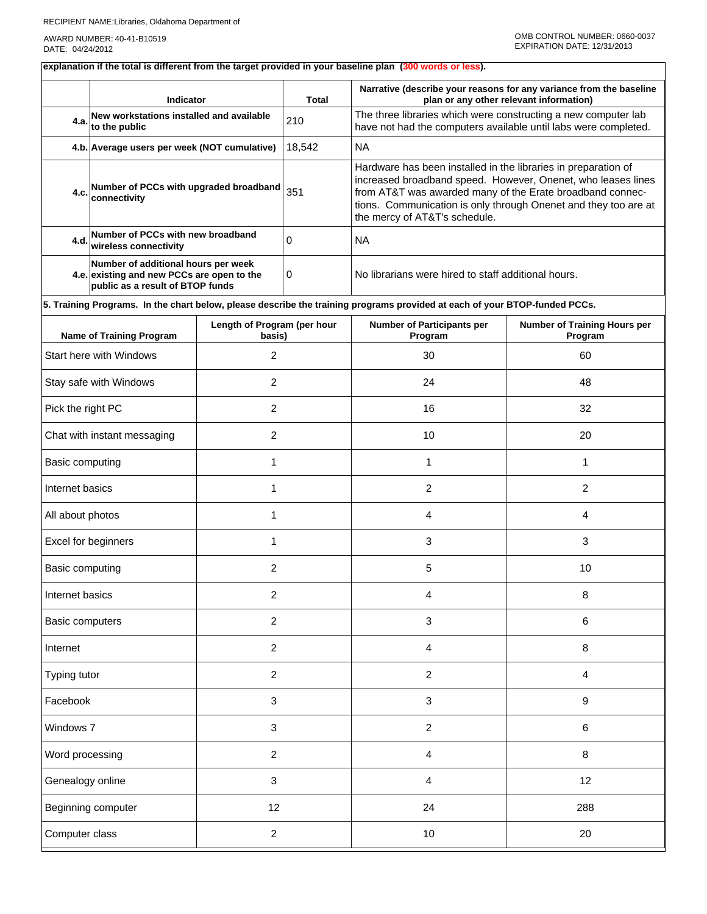## RECIPIENT NAME:Libraries, Oklahoma Department of

AWARD NUMBER: 40-41-B10519 DATE: 04/24/2012

# **explanation if the total is different from the target provided in your baseline plan (300 words or less).**

|                                   | Indicator                                                                                                             |                                       | <b>Total</b>   | Narrative (describe your reasons for any variance from the baseline<br>plan or any other relevant information)                                                                                                                                                                                  |                                         |  |  |  |
|-----------------------------------|-----------------------------------------------------------------------------------------------------------------------|---------------------------------------|----------------|-------------------------------------------------------------------------------------------------------------------------------------------------------------------------------------------------------------------------------------------------------------------------------------------------|-----------------------------------------|--|--|--|
| 4.a.                              | New workstations installed and available<br>to the public                                                             |                                       | 210            | The three libraries which were constructing a new computer lab<br>have not had the computers available until labs were completed.                                                                                                                                                               |                                         |  |  |  |
|                                   | 4.b. Average users per week (NOT cumulative)                                                                          |                                       | 18,542         | <b>NA</b>                                                                                                                                                                                                                                                                                       |                                         |  |  |  |
| 4.c.                              | Number of PCCs with upgraded broadband<br>connectivity                                                                |                                       | 351            | Hardware has been installed in the libraries in preparation of<br>increased broadband speed. However, Onenet, who leases lines<br>from AT&T was awarded many of the Erate broadband connec-<br>tions. Communication is only through Onenet and they too are at<br>the mercy of AT&T's schedule. |                                         |  |  |  |
| 4.d.                              | Number of PCCs with new broadband<br>wireless connectivity                                                            |                                       | $\Omega$       | <b>NA</b>                                                                                                                                                                                                                                                                                       |                                         |  |  |  |
|                                   | Number of additional hours per week<br>4.e. existing and new PCCs are open to the<br>public as a result of BTOP funds |                                       | 0              | No librarians were hired to staff additional hours.                                                                                                                                                                                                                                             |                                         |  |  |  |
|                                   |                                                                                                                       |                                       |                | 5. Training Programs. In the chart below, please describe the training programs provided at each of your BTOP-funded PCCs.                                                                                                                                                                      |                                         |  |  |  |
|                                   | Name of Training Program                                                                                              | Length of Program (per hour<br>basis) |                | <b>Number of Participants per</b><br>Program                                                                                                                                                                                                                                                    | Number of Training Hours per<br>Program |  |  |  |
|                                   | Start here with Windows                                                                                               | 2                                     |                | 30                                                                                                                                                                                                                                                                                              | 60                                      |  |  |  |
|                                   | Stay safe with Windows                                                                                                | $\overline{2}$                        |                | 24                                                                                                                                                                                                                                                                                              | 48                                      |  |  |  |
| Pick the right PC                 |                                                                                                                       | $\overline{c}$                        |                | 16                                                                                                                                                                                                                                                                                              | 32                                      |  |  |  |
| Chat with instant messaging       |                                                                                                                       | 2                                     |                | 10                                                                                                                                                                                                                                                                                              | 20                                      |  |  |  |
| Basic computing                   |                                                                                                                       | 1                                     |                | 1                                                                                                                                                                                                                                                                                               | 1                                       |  |  |  |
| Internet basics<br>1              |                                                                                                                       |                                       |                | $\overline{2}$                                                                                                                                                                                                                                                                                  | $\overline{2}$                          |  |  |  |
| All about photos<br>1             |                                                                                                                       |                                       | 4              | 4                                                                                                                                                                                                                                                                                               |                                         |  |  |  |
| Excel for beginners<br>1          |                                                                                                                       |                                       | 3              | 3                                                                                                                                                                                                                                                                                               |                                         |  |  |  |
| Basic computing                   |                                                                                                                       | 2                                     |                | 5                                                                                                                                                                                                                                                                                               | 10                                      |  |  |  |
| Internet basics                   |                                                                                                                       | 2                                     |                | 4                                                                                                                                                                                                                                                                                               | 8                                       |  |  |  |
| Basic computers                   |                                                                                                                       | $\overline{2}$                        |                | 3                                                                                                                                                                                                                                                                                               | 6                                       |  |  |  |
| Internet                          |                                                                                                                       | $\overline{2}$                        |                | 4                                                                                                                                                                                                                                                                                               | 8                                       |  |  |  |
| Typing tutor                      |                                                                                                                       | $\overline{2}$                        |                | $\overline{c}$                                                                                                                                                                                                                                                                                  | $\overline{4}$                          |  |  |  |
| Facebook                          |                                                                                                                       | 3                                     |                | 3                                                                                                                                                                                                                                                                                               | 9                                       |  |  |  |
| Windows 7<br>3                    |                                                                                                                       |                                       | $\overline{c}$ | 6                                                                                                                                                                                                                                                                                               |                                         |  |  |  |
| $\overline{2}$<br>Word processing |                                                                                                                       |                                       | 4              | 8                                                                                                                                                                                                                                                                                               |                                         |  |  |  |
| Genealogy online                  |                                                                                                                       | 3                                     |                | 4                                                                                                                                                                                                                                                                                               | 12                                      |  |  |  |
| 12<br>Beginning computer          |                                                                                                                       |                                       | 24             | 288                                                                                                                                                                                                                                                                                             |                                         |  |  |  |
| Computer class                    |                                                                                                                       | $\overline{c}$                        |                | 10                                                                                                                                                                                                                                                                                              | 20                                      |  |  |  |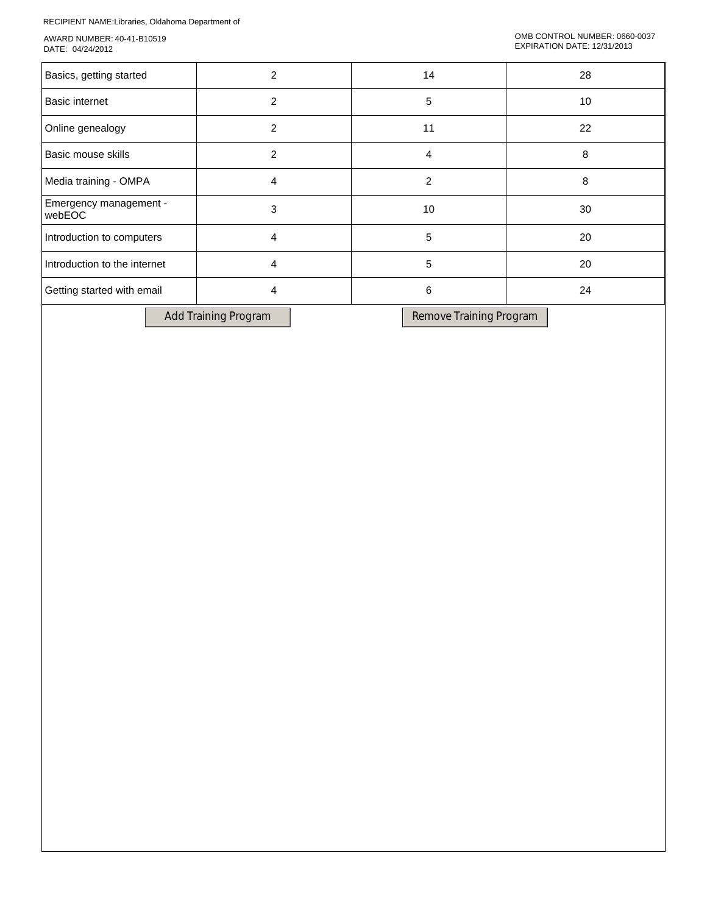RECIPIENT NAME:Libraries, Oklahoma Department of

AWARD NUMBER: 40-41-B10519 DATE: 04/24/2012

| Basics, getting started          | 2 | 14             | 28 |
|----------------------------------|---|----------------|----|
| <b>Basic internet</b>            | 2 | 5              | 10 |
| Online genealogy                 | 2 | 11             | 22 |
| Basic mouse skills               | 2 | 4              | 8  |
| Media training - OMPA            | 4 | $\overline{2}$ | 8  |
| Emergency management -<br>webEOC | 3 | 10             | 30 |
| Introduction to computers        | 4 | 5              | 20 |
| Introduction to the internet     | 4 | 5              | 20 |
| Getting started with email       | 4 | 6              | 24 |
|                                  |   |                |    |

Add Training Program Remove Training Program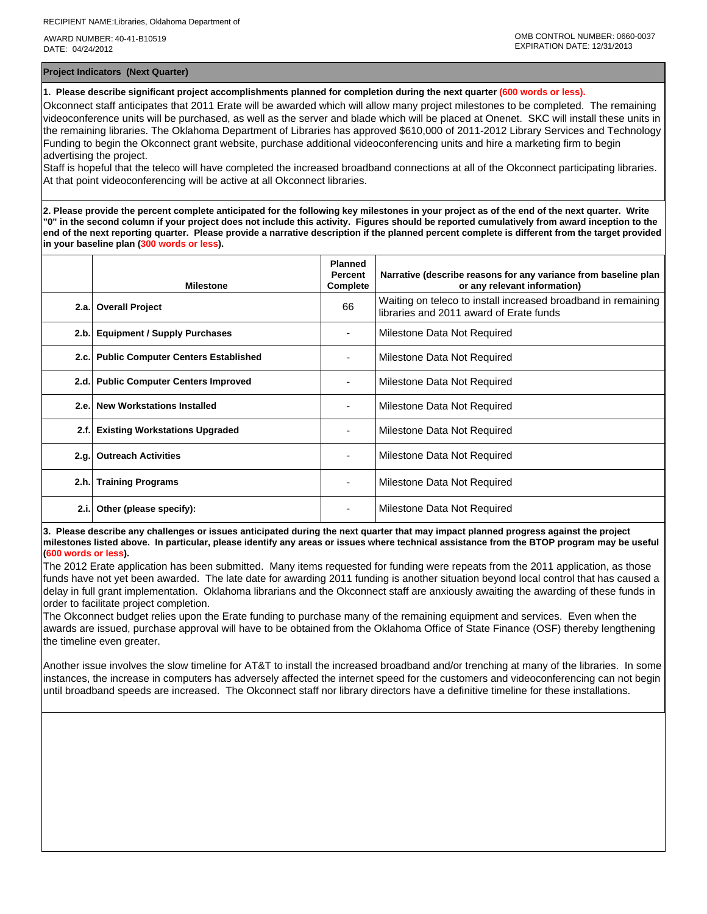AWARD NUMBER: 40-41-B10519 DATE: 04/24/2012

**Project Indicators (Next Quarter)**

**1. Please describe significant project accomplishments planned for completion during the next quarter (600 words or less).**

Okconnect staff anticipates that 2011 Erate will be awarded which will allow many project milestones to be completed. The remaining videoconference units will be purchased, as well as the server and blade which will be placed at Onenet. SKC will install these units in the remaining libraries. The Oklahoma Department of Libraries has approved \$610,000 of 2011-2012 Library Services and Technology Funding to begin the Okconnect grant website, purchase additional videoconferencing units and hire a marketing firm to begin advertising the project.

Staff is hopeful that the teleco will have completed the increased broadband connections at all of the Okconnect participating libraries. At that point videoconferencing will be active at all Okconnect libraries.

**2. Please provide the percent complete anticipated for the following key milestones in your project as of the end of the next quarter. Write "0" in the second column if your project does not include this activity. Figures should be reported cumulatively from award inception to the end of the next reporting quarter. Please provide a narrative description if the planned percent complete is different from the target provided in your baseline plan (300 words or less).**

|      | <b>Milestone</b>                         | <b>Planned</b><br><b>Percent</b><br>Complete | Narrative (describe reasons for any variance from baseline plan<br>or any relevant information)          |
|------|------------------------------------------|----------------------------------------------|----------------------------------------------------------------------------------------------------------|
|      | 2.a. Overall Project                     | 66                                           | Waiting on teleco to install increased broadband in remaining<br>libraries and 2011 award of Erate funds |
|      | 2.b. Equipment / Supply Purchases        |                                              | Milestone Data Not Required                                                                              |
|      | 2.c. Public Computer Centers Established |                                              | Milestone Data Not Required                                                                              |
|      | 2.d. Public Computer Centers Improved    |                                              | Milestone Data Not Required                                                                              |
| 2.e. | <b>New Workstations Installed</b>        |                                              | Milestone Data Not Required                                                                              |
| 2.f. | <b>Existing Workstations Upgraded</b>    |                                              | Milestone Data Not Required                                                                              |
|      | 2.g. Outreach Activities                 |                                              | Milestone Data Not Required                                                                              |
|      | 2.h. Training Programs                   |                                              | Milestone Data Not Required                                                                              |
| 2.i. | Other (please specify):                  |                                              | Milestone Data Not Required                                                                              |

**3. Please describe any challenges or issues anticipated during the next quarter that may impact planned progress against the project milestones listed above. In particular, please identify any areas or issues where technical assistance from the BTOP program may be useful (600 words or less).**

The 2012 Erate application has been submitted. Many items requested for funding were repeats from the 2011 application, as those funds have not yet been awarded. The late date for awarding 2011 funding is another situation beyond local control that has caused a delay in full grant implementation. Oklahoma librarians and the Okconnect staff are anxiously awaiting the awarding of these funds in order to facilitate project completion.

The Okconnect budget relies upon the Erate funding to purchase many of the remaining equipment and services. Even when the awards are issued, purchase approval will have to be obtained from the Oklahoma Office of State Finance (OSF) thereby lengthening the timeline even greater.

Another issue involves the slow timeline for AT&T to install the increased broadband and/or trenching at many of the libraries. In some instances, the increase in computers has adversely affected the internet speed for the customers and videoconferencing can not begin until broadband speeds are increased. The Okconnect staff nor library directors have a definitive timeline for these installations.